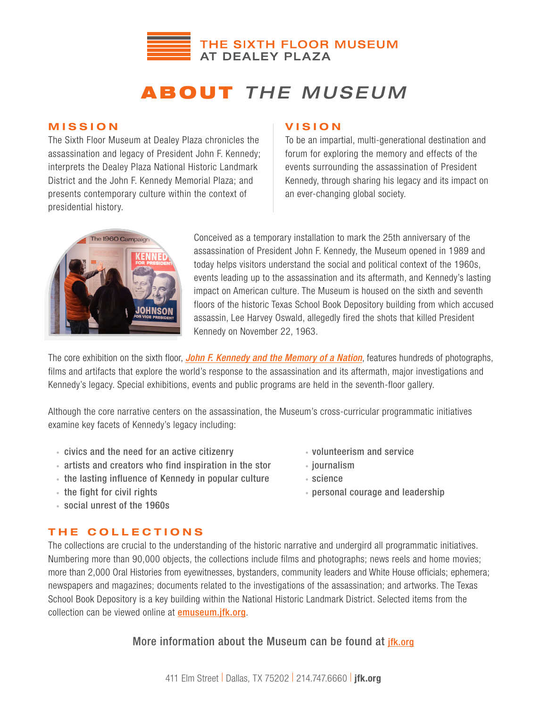

# ABOUT *THE MUSEUM*

## MISSION

The Sixth Floor Museum at Dealey Plaza chronicles the assassination and legacy of President John F. Kennedy; interprets the Dealey Plaza National Historic Landmark District and the John F. Kennedy Memorial Plaza; and presents contemporary culture within the context of presidential history.

## **VISION**

To be an impartial, multi-generational destination and forum for exploring the memory and effects of the events surrounding the assassination of President Kennedy, through sharing his legacy and its impact on an ever-changing global society.



Conceived as a temporary installation to mark the 25th anniversary of the assassination of President John F. Kennedy, the Museum opened in 1989 and today helps visitors understand the social and political context of the 1960s, events leading up to the assassination and its aftermath, and Kennedy's lasting impact on American culture. The Museum is housed on the sixth and seventh floors of the historic Texas School Book Depository building from which accused assassin, Lee Harvey Oswald, allegedly fired the shots that killed President Kennedy on November 22, 1963.

The core exhibition on the sixth floor, *John F. Kennedy and the Memory of a Nation*, features hundreds of photographs, films and artifacts that explore the world's response to the assassination and its aftermath, major investigations and Kennedy's legacy. Special exhibitions, events and public programs are held in the seventh-floor gallery.

Although the core narrative centers on the assassination, the Museum's cross-curricular programmatic initiatives examine key facets of Kennedy's legacy including:

- civics and the need for an active citizenry *volunteerism* and service
- artists and creators who find inspiration in the stor journalism
- the lasting influence of Kennedy in popular culture science
- 
- social unrest of the 1960s
- 
- 
- 
- the fight for civil rights personal courage and leadership

## THE COLLECTIONS

The collections are crucial to the understanding of the historic narrative and undergird all programmatic initiatives. Numbering more than 90,000 objects, the collections include films and photographs; news reels and home movies; more than 2,000 Oral Histories from eyewitnesses, bystanders, community leaders and White House officials; ephemera; newspapers and magazines; documents related to the investigations of the assassination; and artworks. The Texas School Book Depository is a key building within the National Historic Landmark District. Selected items from the collection can be viewed online at **emuseum.jfk.org**.

More information about the Museum can be found at jfk.org